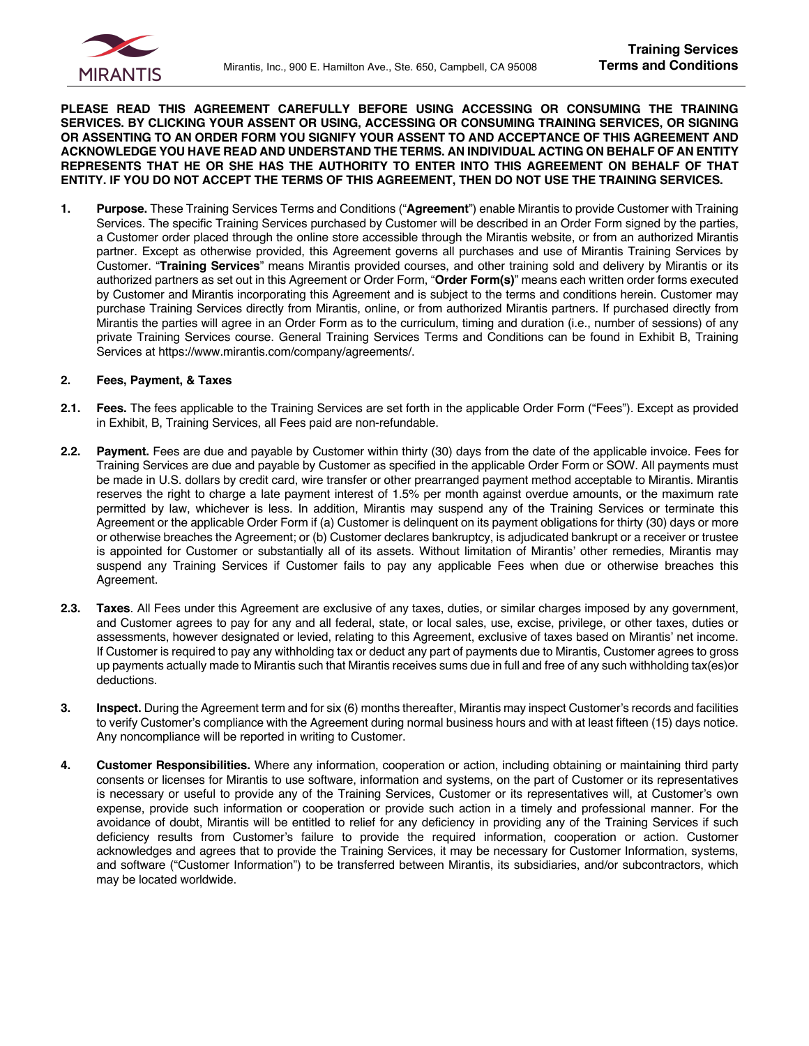

**PLEASE READ THIS AGREEMENT CAREFULLY BEFORE USING ACCESSING OR CONSUMING THE TRAINING SERVICES. BY CLICKING YOUR ASSENT OR USING, ACCESSING OR CONSUMING TRAINING SERVICES, OR SIGNING OR ASSENTING TO AN ORDER FORM YOU SIGNIFY YOUR ASSENT TO AND ACCEPTANCE OF THIS AGREEMENT AND ACKNOWLEDGE YOU HAVE READ AND UNDERSTAND THE TERMS. AN INDIVIDUAL ACTING ON BEHALF OF AN ENTITY REPRESENTS THAT HE OR SHE HAS THE AUTHORITY TO ENTER INTO THIS AGREEMENT ON BEHALF OF THAT ENTITY. IF YOU DO NOT ACCEPT THE TERMS OF THIS AGREEMENT, THEN DO NOT USE THE TRAINING SERVICES.**

**1. Purpose.** These Training Services Terms and Conditions ("**Agreement**") enable Mirantis to provide Customer with Training Services. The specific Training Services purchased by Customer will be described in an Order Form signed by the parties, a Customer order placed through the online store accessible through the Mirantis website, or from an authorized Mirantis partner. Except as otherwise provided, this Agreement governs all purchases and use of Mirantis Training Services by Customer. "**Training Services**" means Mirantis provided courses, and other training sold and delivery by Mirantis or its authorized partners as set out in this Agreement or Order Form, "**Order Form(s)**" means each written order forms executed by Customer and Mirantis incorporating this Agreement and is subject to the terms and conditions herein. Customer may purchase Training Services directly from Mirantis, online, or from authorized Mirantis partners. If purchased directly from Mirantis the parties will agree in an Order Form as to the curriculum, timing and duration (i.e., number of sessions) of any private Training Services course. General Training Services Terms and Conditions can be found in Exhibit B, Training Services at https://www.mirantis.com/company/agreements/.

#### **2. Fees, Payment, & Taxes**

- **2.1. Fees.** The fees applicable to the Training Services are set forth in the applicable Order Form ("Fees"). Except as provided in Exhibit, B, Training Services, all Fees paid are non-refundable.
- **2.2. Payment.** Fees are due and payable by Customer within thirty (30) days from the date of the applicable invoice. Fees for Training Services are due and payable by Customer as specified in the applicable Order Form or SOW. All payments must be made in U.S. dollars by credit card, wire transfer or other prearranged payment method acceptable to Mirantis. Mirantis reserves the right to charge a late payment interest of 1.5% per month against overdue amounts, or the maximum rate permitted by law, whichever is less. In addition, Mirantis may suspend any of the Training Services or terminate this Agreement or the applicable Order Form if (a) Customer is delinquent on its payment obligations for thirty (30) days or more or otherwise breaches the Agreement; or (b) Customer declares bankruptcy, is adjudicated bankrupt or a receiver or trustee is appointed for Customer or substantially all of its assets. Without limitation of Mirantis' other remedies, Mirantis may suspend any Training Services if Customer fails to pay any applicable Fees when due or otherwise breaches this Agreement.
- **2.3. Taxes**. All Fees under this Agreement are exclusive of any taxes, duties, or similar charges imposed by any government, and Customer agrees to pay for any and all federal, state, or local sales, use, excise, privilege, or other taxes, duties or assessments, however designated or levied, relating to this Agreement, exclusive of taxes based on Mirantis' net income. If Customer is required to pay any withholding tax or deduct any part of payments due to Mirantis, Customer agrees to gross up payments actually made to Mirantis such that Mirantis receives sums due in full and free of any such withholding tax(es)or deductions.
- **3. Inspect.** During the Agreement term and for six (6) months thereafter, Mirantis may inspect Customer's records and facilities to verify Customer's compliance with the Agreement during normal business hours and with at least fifteen (15) days notice. Any noncompliance will be reported in writing to Customer.
- **4. Customer Responsibilities.** Where any information, cooperation or action, including obtaining or maintaining third party consents or licenses for Mirantis to use software, information and systems, on the part of Customer or its representatives is necessary or useful to provide any of the Training Services, Customer or its representatives will, at Customer's own expense, provide such information or cooperation or provide such action in a timely and professional manner. For the avoidance of doubt, Mirantis will be entitled to relief for any deficiency in providing any of the Training Services if such deficiency results from Customer's failure to provide the required information, cooperation or action. Customer acknowledges and agrees that to provide the Training Services, it may be necessary for Customer Information, systems, and software ("Customer Information") to be transferred between Mirantis, its subsidiaries, and/or subcontractors, which may be located worldwide.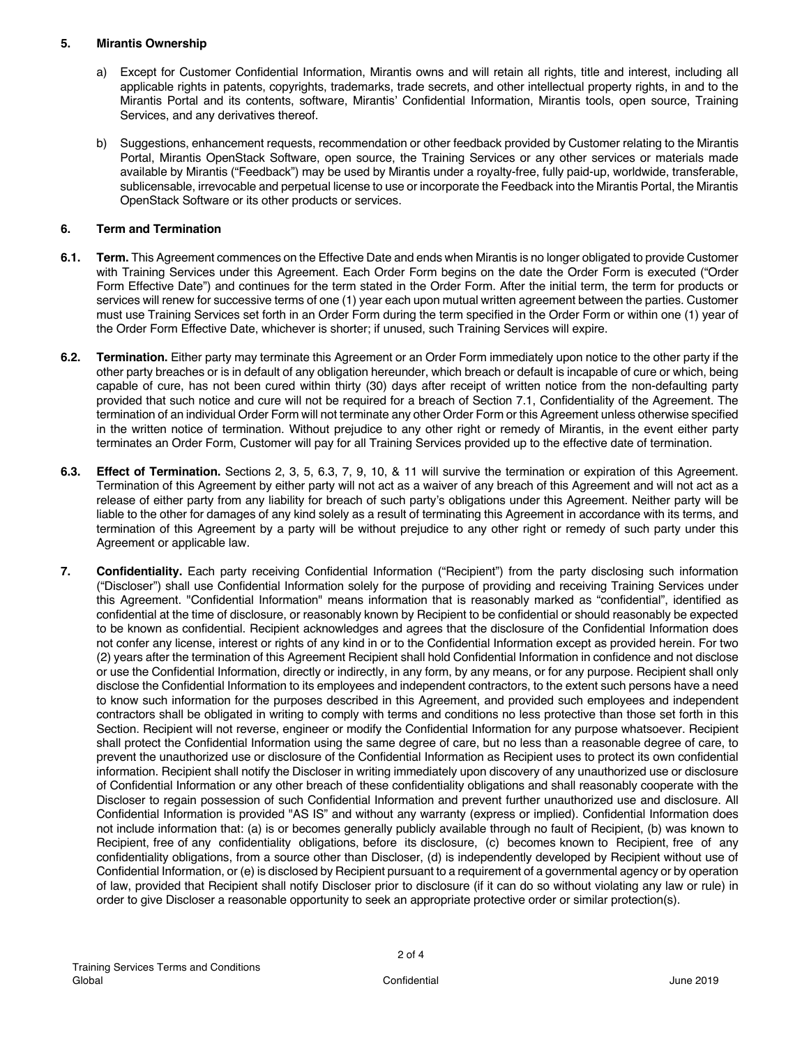#### **5. Mirantis Ownership**

- a) Except for Customer Confidential Information, Mirantis owns and will retain all rights, title and interest, including all applicable rights in patents, copyrights, trademarks, trade secrets, and other intellectual property rights, in and to the Mirantis Portal and its contents, software, Mirantis' Confidential Information, Mirantis tools, open source, Training Services, and any derivatives thereof.
- b) Suggestions, enhancement requests, recommendation or other feedback provided by Customer relating to the Mirantis Portal, Mirantis OpenStack Software, open source, the Training Services or any other services or materials made available by Mirantis ("Feedback") may be used by Mirantis under a royalty-free, fully paid-up, worldwide, transferable, sublicensable, irrevocable and perpetual license to use or incorporate the Feedback into the Mirantis Portal, the Mirantis OpenStack Software or its other products or services.

# **6. Term and Termination**

- **6.1. Term.** This Agreement commences on the Effective Date and ends when Mirantis is no longer obligated to provide Customer with Training Services under this Agreement. Each Order Form begins on the date the Order Form is executed ("Order Form Effective Date") and continues for the term stated in the Order Form. After the initial term, the term for products or services will renew for successive terms of one (1) year each upon mutual written agreement between the parties. Customer must use Training Services set forth in an Order Form during the term specified in the Order Form or within one (1) year of the Order Form Effective Date, whichever is shorter; if unused, such Training Services will expire.
- **6.2. Termination.** Either party may terminate this Agreement or an Order Form immediately upon notice to the other party if the other party breaches or is in default of any obligation hereunder, which breach or default is incapable of cure or which, being capable of cure, has not been cured within thirty (30) days after receipt of written notice from the non-defaulting party provided that such notice and cure will not be required for a breach of Section 7.1, Confidentiality of the Agreement. The termination of an individual Order Form will not terminate any other Order Form or this Agreement unless otherwise specified in the written notice of termination. Without prejudice to any other right or remedy of Mirantis, in the event either party terminates an Order Form, Customer will pay for all Training Services provided up to the effective date of termination.
- **6.3. Effect of Termination.** Sections 2, 3, 5, 6.3, 7, 9, 10, & 11 will survive the termination or expiration of this Agreement. Termination of this Agreement by either party will not act as a waiver of any breach of this Agreement and will not act as a release of either party from any liability for breach of such party's obligations under this Agreement. Neither party will be liable to the other for damages of any kind solely as a result of terminating this Agreement in accordance with its terms, and termination of this Agreement by a party will be without prejudice to any other right or remedy of such party under this Agreement or applicable law.
- **7. Confidentiality.** Each party receiving Confidential Information ("Recipient") from the party disclosing such information ("Discloser") shall use Confidential Information solely for the purpose of providing and receiving Training Services under this Agreement. "Confidential Information" means information that is reasonably marked as "confidential", identified as confidential at the time of disclosure, or reasonably known by Recipient to be confidential or should reasonably be expected to be known as confidential. Recipient acknowledges and agrees that the disclosure of the Confidential Information does not confer any license, interest or rights of any kind in or to the Confidential Information except as provided herein. For two (2) years after the termination of this Agreement Recipient shall hold Confidential Information in confidence and not disclose or use the Confidential Information, directly or indirectly, in any form, by any means, or for any purpose. Recipient shall only disclose the Confidential Information to its employees and independent contractors, to the extent such persons have a need to know such information for the purposes described in this Agreement, and provided such employees and independent contractors shall be obligated in writing to comply with terms and conditions no less protective than those set forth in this Section. Recipient will not reverse, engineer or modify the Confidential Information for any purpose whatsoever. Recipient shall protect the Confidential Information using the same degree of care, but no less than a reasonable degree of care, to prevent the unauthorized use or disclosure of the Confidential Information as Recipient uses to protect its own confidential information. Recipient shall notify the Discloser in writing immediately upon discovery of any unauthorized use or disclosure of Confidential Information or any other breach of these confidentiality obligations and shall reasonably cooperate with the Discloser to regain possession of such Confidential Information and prevent further unauthorized use and disclosure. All Confidential Information is provided "AS IS" and without any warranty (express or implied). Confidential Information does not include information that: (a) is or becomes generally publicly available through no fault of Recipient, (b) was known to Recipient, free of any confidentiality obligations, before its disclosure, (c) becomes known to Recipient, free of any confidentiality obligations, from a source other than Discloser, (d) is independently developed by Recipient without use of Confidential Information, or (e) is disclosed by Recipient pursuant to a requirement of a governmental agency or by operation of law, provided that Recipient shall notify Discloser prior to disclosure (if it can do so without violating any law or rule) in order to give Discloser a reasonable opportunity to seek an appropriate protective order or similar protection(s).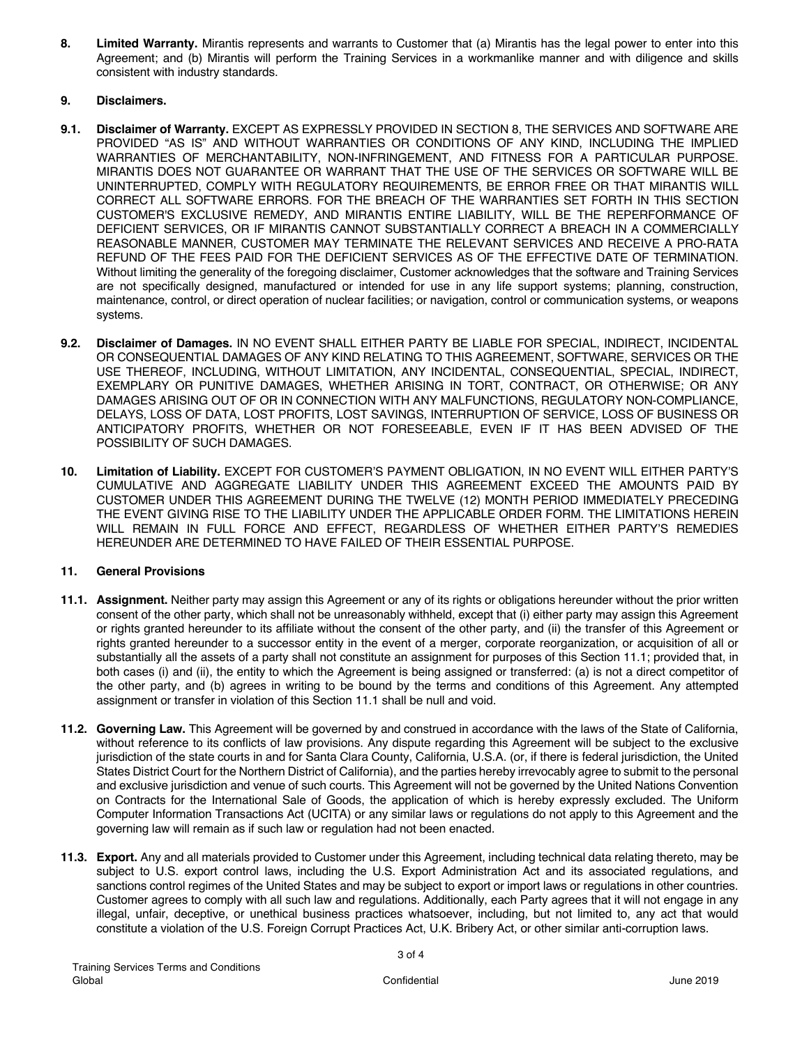**8. Limited Warranty.** Mirantis represents and warrants to Customer that (a) Mirantis has the legal power to enter into this Agreement; and (b) Mirantis will perform the Training Services in a workmanlike manner and with diligence and skills consistent with industry standards.

# **9. Disclaimers.**

- **9.1. Disclaimer of Warranty.** EXCEPT AS EXPRESSLY PROVIDED IN SECTION 8, THE SERVICES AND SOFTWARE ARE PROVIDED "AS IS" AND WITHOUT WARRANTIES OR CONDITIONS OF ANY KIND, INCLUDING THE IMPLIED WARRANTIES OF MERCHANTABILITY, NON-INFRINGEMENT, AND FITNESS FOR A PARTICULAR PURPOSE. MIRANTIS DOES NOT GUARANTEE OR WARRANT THAT THE USE OF THE SERVICES OR SOFTWARE WILL BE UNINTERRUPTED, COMPLY WITH REGULATORY REQUIREMENTS, BE ERROR FREE OR THAT MIRANTIS WILL CORRECT ALL SOFTWARE ERRORS. FOR THE BREACH OF THE WARRANTIES SET FORTH IN THIS SECTION CUSTOMER'S EXCLUSIVE REMEDY, AND MIRANTIS ENTIRE LIABILITY, WILL BE THE REPERFORMANCE OF DEFICIENT SERVICES, OR IF MIRANTIS CANNOT SUBSTANTIALLY CORRECT A BREACH IN A COMMERCIALLY REASONABLE MANNER, CUSTOMER MAY TERMINATE THE RELEVANT SERVICES AND RECEIVE A PRO-RATA REFUND OF THE FEES PAID FOR THE DEFICIENT SERVICES AS OF THE EFFECTIVE DATE OF TERMINATION. Without limiting the generality of the foregoing disclaimer, Customer acknowledges that the software and Training Services are not specifically designed, manufactured or intended for use in any life support systems; planning, construction, maintenance, control, or direct operation of nuclear facilities; or navigation, control or communication systems, or weapons systems.
- **9.2. Disclaimer of Damages.** IN NO EVENT SHALL EITHER PARTY BE LIABLE FOR SPECIAL, INDIRECT, INCIDENTAL OR CONSEQUENTIAL DAMAGES OF ANY KIND RELATING TO THIS AGREEMENT, SOFTWARE, SERVICES OR THE USE THEREOF, INCLUDING, WITHOUT LIMITATION, ANY INCIDENTAL, CONSEQUENTIAL, SPECIAL, INDIRECT, EXEMPLARY OR PUNITIVE DAMAGES, WHETHER ARISING IN TORT, CONTRACT, OR OTHERWISE; OR ANY DAMAGES ARISING OUT OF OR IN CONNECTION WITH ANY MALFUNCTIONS, REGULATORY NON-COMPLIANCE, DELAYS, LOSS OF DATA, LOST PROFITS, LOST SAVINGS, INTERRUPTION OF SERVICE, LOSS OF BUSINESS OR ANTICIPATORY PROFITS, WHETHER OR NOT FORESEEABLE, EVEN IF IT HAS BEEN ADVISED OF THE POSSIBILITY OF SUCH DAMAGES.
- **10. Limitation of Liability.** EXCEPT FOR CUSTOMER'S PAYMENT OBLIGATION, IN NO EVENT WILL EITHER PARTY'S CUMULATIVE AND AGGREGATE LIABILITY UNDER THIS AGREEMENT EXCEED THE AMOUNTS PAID BY CUSTOMER UNDER THIS AGREEMENT DURING THE TWELVE (12) MONTH PERIOD IMMEDIATELY PRECEDING THE EVENT GIVING RISE TO THE LIABILITY UNDER THE APPLICABLE ORDER FORM. THE LIMITATIONS HEREIN WILL REMAIN IN FULL FORCE AND EFFECT, REGARDLESS OF WHETHER EITHER PARTY'S REMEDIES HEREUNDER ARE DETERMINED TO HAVE FAILED OF THEIR ESSENTIAL PURPOSE.

## **11. General Provisions**

- **11.1. Assignment.** Neither party may assign this Agreement or any of its rights or obligations hereunder without the prior written consent of the other party, which shall not be unreasonably withheld, except that (i) either party may assign this Agreement or rights granted hereunder to its affiliate without the consent of the other party, and (ii) the transfer of this Agreement or rights granted hereunder to a successor entity in the event of a merger, corporate reorganization, or acquisition of all or substantially all the assets of a party shall not constitute an assignment for purposes of this Section 11.1; provided that, in both cases (i) and (ii), the entity to which the Agreement is being assigned or transferred: (a) is not a direct competitor of the other party, and (b) agrees in writing to be bound by the terms and conditions of this Agreement. Any attempted assignment or transfer in violation of this Section 11.1 shall be null and void.
- **11.2. Governing Law.** This Agreement will be governed by and construed in accordance with the laws of the State of California, without reference to its conflicts of law provisions. Any dispute regarding this Agreement will be subject to the exclusive jurisdiction of the state courts in and for Santa Clara County, California, U.S.A. (or, if there is federal jurisdiction, the United States District Court for the Northern District of California), and the parties hereby irrevocably agree to submit to the personal and exclusive jurisdiction and venue of such courts. This Agreement will not be governed by the United Nations Convention on Contracts for the International Sale of Goods, the application of which is hereby expressly excluded. The Uniform Computer Information Transactions Act (UCITA) or any similar laws or regulations do not apply to this Agreement and the governing law will remain as if such law or regulation had not been enacted.
- **11.3. Export.** Any and all materials provided to Customer under this Agreement, including technical data relating thereto, may be subject to U.S. export control laws, including the U.S. Export Administration Act and its associated regulations, and sanctions control regimes of the United States and may be subject to export or import laws or regulations in other countries. Customer agrees to comply with all such law and regulations. Additionally, each Party agrees that it will not engage in any illegal, unfair, deceptive, or unethical business practices whatsoever, including, but not limited to, any act that would constitute a violation of the U.S. Foreign Corrupt Practices Act, U.K. Bribery Act, or other similar anti-corruption laws.